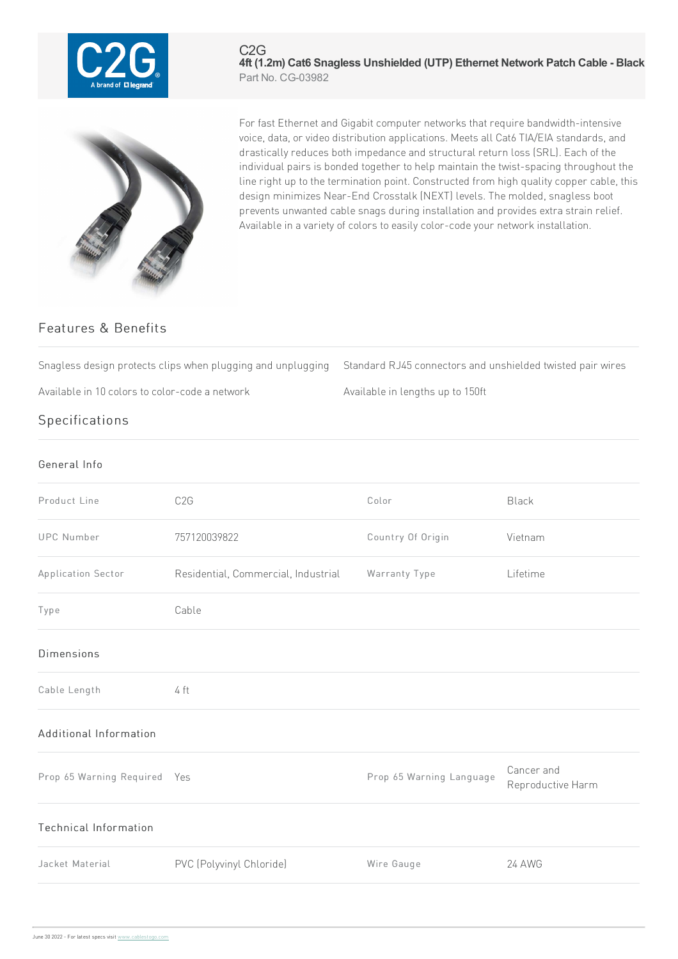

## C2G **4ft (1.2m) Cat6 Snagless Unshielded (UTP) Ethernet Network Patch Cable - Black** Part No. CG-03982



For fast Ethernet and Gigabit computer networks that require bandwidth-intensive voice, data, or video distribution applications. Meets all Cat6 TIA/EIA standards, and drastically reduces both impedance and structural return loss (SRL). Each of the individual pairs is bonded together to help maintain the twist-spacing throughout the line right up to the termination point. Constructed from high quality copper cable, this design minimizes Near-End Crosstalk (NEXT) levels. The molded, snagless boot prevents unwanted cable snags during installation and provides extra strain relief. Available in a variety of colors to easily color-code your network installation.

## Features & Benefits

Snagless design protects clips when plugging and unplugging Standard RJ45 connectors and unshielded twisted pair wires

Available in 10 colors to color-code a network Available in lengths up to 150ft

Specifications

| General Info                 |                                     |                          |                                 |
|------------------------------|-------------------------------------|--------------------------|---------------------------------|
| Product Line                 | C <sub>2</sub> G                    | Color                    | <b>Black</b>                    |
| <b>UPC Number</b>            | 757120039822                        | Country Of Origin        | Vietnam                         |
| Application Sector           | Residential, Commercial, Industrial | Warranty Type            | Lifetime                        |
| Type                         | Cable                               |                          |                                 |
| <b>Dimensions</b>            |                                     |                          |                                 |
| Cable Length                 | 4 ft                                |                          |                                 |
| Additional Information       |                                     |                          |                                 |
| Prop 65 Warning Required Yes |                                     | Prop 65 Warning Language | Cancer and<br>Reproductive Harm |
| Technical Information        |                                     |                          |                                 |
| Jacket Material              | PVC (Polyvinyl Chloride)            | Wire Gauge               | <b>24 AWG</b>                   |
|                              |                                     |                          |                                 |